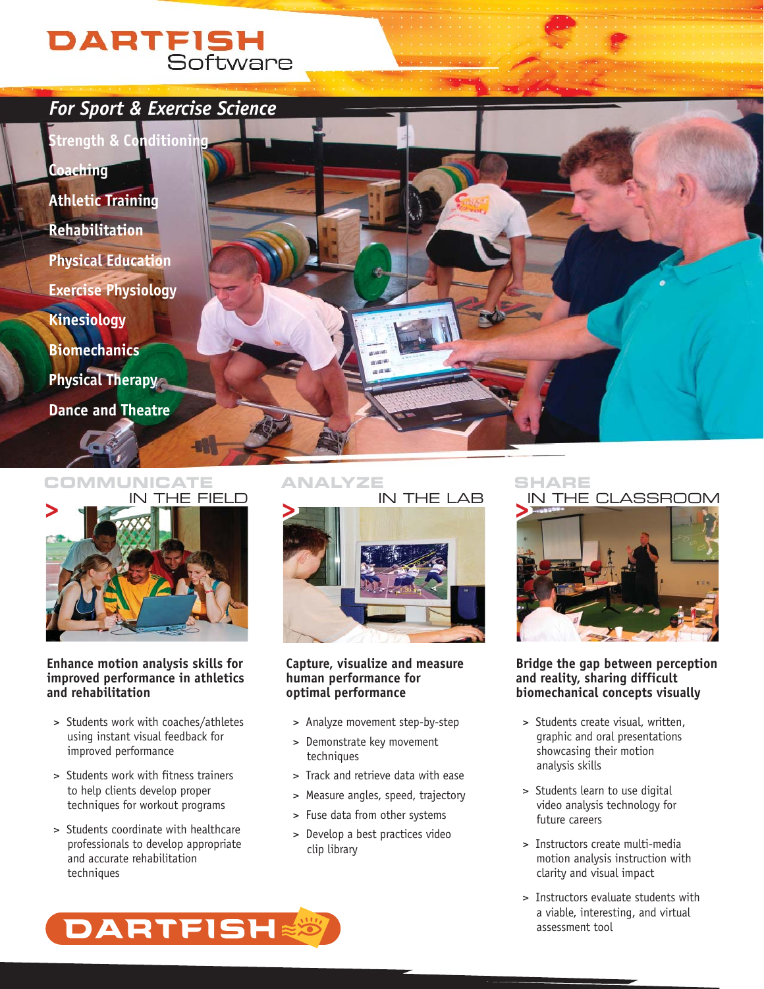# **DARTFISH**<br>Software

**Coaching Athletic Training Rehabilitation Physical Education Exercise Physiology Kinesiology Biomechanics Physical Therapy Dance and Theatre**





### **Enhance motion analysis skills for improved performance in athletics and rehabilitation**

- > Students work with coaches/athletes using instant visual feedback for improved performance
- > Students work with fitness trainers to help clients develop proper techniques for workout programs
- > Students coordinate with healthcare professionals to develop appropriate and accurate rehabilitation techniques



### **Capture, visualize and measure human performance for optimal performance**

- > Analyze movement step-by-step
- > Demonstrate key movement techniques
- > Track and retrieve data with ease
- > Measure angles, speed, trajectory
- > Fuse data from other systems
- > Develop a best practices video clip library



### **Bridge the gap between perception and reality, sharing difficult biomechanical concepts visually**

- > Students create visual, written, graphic and oral presentations showcasing their motion analysis skills
- > Students learn to use digital video analysis technology for future careers
- > Instructors create multi-media motion analysis instruction with clarity and visual impact
- > Instructors evaluate students with a viable, interesting, and virtual assessment tool